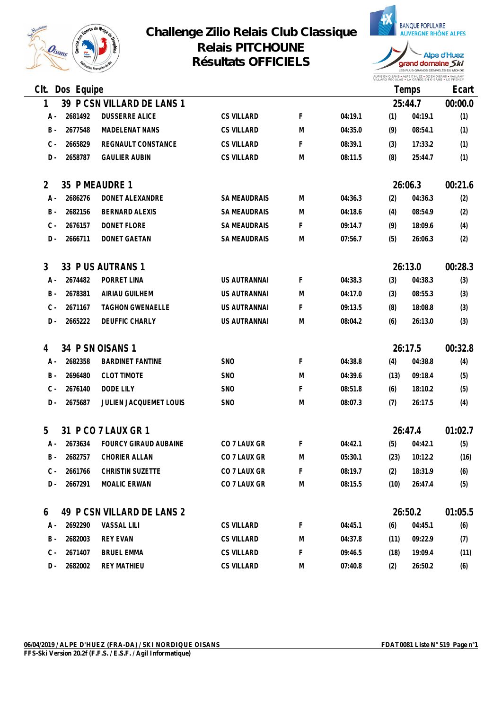

## **Challenge Zilio Relais Club Classique Relais PITCHOUNE Résultats OFFICIELS**



AURIS EN OISANS • ALPE D'HUEZ • OZ EN OISANS • VAUJANY<br>VILLARD REGULAS • LA GARDE EN OISANS • LE FRENEY

| Clt.  | Dos Equipe |                            |                     |   |         |      | Temps   | Ecart   |
|-------|------------|----------------------------|---------------------|---|---------|------|---------|---------|
| 1     |            | 39 P CSN VILLARD DE LANS 1 |                     |   |         |      | 25:44.7 | 00:00.0 |
| A -   | 2681492    | <b>DUSSERRE ALICE</b>      | <b>CS VILLARD</b>   | F | 04:19.1 | (1)  | 04:19.1 | (1)     |
| $B -$ | 2677548    | <b>MADELENAT NANS</b>      | <b>CS VILLARD</b>   | M | 04:35.0 | (9)  | 08:54.1 | (1)     |
| $C -$ | 2665829    | REGNAULT CONSTANCE         | <b>CS VILLARD</b>   | F | 08:39.1 | (3)  | 17:33.2 | (1)     |
| $D -$ | 2658787    | <b>GAULIER AUBIN</b>       | <b>CS VILLARD</b>   | M | 08:11.5 | (8)  | 25:44.7 | (1)     |
| 2     |            | 35 P MEAUDRE 1             |                     |   |         |      | 26:06.3 | 00:21.6 |
| A -   | 2686276    | DONET ALEXANDRE            | <b>SA MEAUDRAIS</b> | M | 04:36.3 | (2)  | 04:36.3 | (2)     |
| $B -$ | 2682156    | <b>BERNARD ALEXIS</b>      | <b>SA MEAUDRAIS</b> | M | 04:18.6 | (4)  | 08:54.9 | (2)     |
| $C -$ | 2676157    | DONET FLORE                | <b>SA MEAUDRAIS</b> | F | 09:14.7 | (9)  | 18:09.6 | (4)     |
| $D$ - | 2666711    | <b>DONET GAETAN</b>        | <b>SA MEAUDRAIS</b> | M | 07:56.7 | (5)  | 26:06.3 | (2)     |
| 3     |            | 33 P US AUTRANS 1          |                     |   |         |      | 26:13.0 | 00:28.3 |
| A -   | 2674482    | PORRET LINA                | US AUTRANNAI        | F | 04:38.3 | (3)  | 04:38.3 | (3)     |
| $B -$ | 2678381    | AIRIAU GUILHEM             | US AUTRANNAI        | M | 04:17.0 | (3)  | 08:55.3 | (3)     |
| $C -$ | 2671167    | <b>TAGHON GWENAELLE</b>    | US AUTRANNAI        | F | 09:13.5 | (8)  | 18:08.8 | (3)     |
| $D -$ | 2665222    | DEUFFIC CHARLY             | US AUTRANNAI        | M | 08:04.2 | (6)  | 26:13.0 | (3)     |
| 4     |            | 34 P SN OISANS 1           |                     |   |         |      | 26:17.5 | 00:32.8 |
| A -   | 2682358    | <b>BARDINET FANTINE</b>    | <b>SNO</b>          | F | 04:38.8 | (4)  | 04:38.8 | (4)     |
| $B -$ | 2696480    | <b>CLOT TIMOTE</b>         | <b>SNO</b>          | M | 04:39.6 | (13) | 09:18.4 | (5)     |
| $C -$ | 2676140    | DODE LILY                  | <b>SNO</b>          | F | 08:51.8 | (6)  | 18:10.2 | (5)     |
| $D$ - | 2675687    | JULIEN JACQUEMET LOUIS     | <b>SNO</b>          | M | 08:07.3 | (7)  | 26:17.5 | (4)     |
| 5     |            | 31 P CO 7 LAUX GR 1        |                     |   |         |      | 26:47.4 | 01:02.7 |
| A -   | 2673634    | FOURCY GIRAUD AUBAINE      | CO 7 LAUX GR        | F | 04:42.1 | (5)  | 04:42.1 | (5)     |
| $B -$ | 2682757    | CHORIER ALLAN              | CO 7 LAUX GR        | M | 05:30.1 | (23) | 10:12.2 | (16)    |
| C -   | 2661766    | CHRISTIN SUZETTE           | CO 7 LAUX GR        | F | 08:19.7 | (2)  | 18:31.9 | (6)     |
| $D -$ | 2667291    | MOALIC ERWAN               | CO 7 LAUX GR        | M | 08:15.5 | (10) | 26:47.4 | (5)     |
| 6     |            | 49 P CSN VILLARD DE LANS 2 |                     |   |         |      | 26:50.2 | 01:05.5 |
| A -   | 2692290    | VASSAL LILI                | <b>CS VILLARD</b>   | F | 04:45.1 | (6)  | 04:45.1 | (6)     |
| B -   | 2682003    | <b>REY EVAN</b>            | <b>CS VILLARD</b>   | M | 04:37.8 | (11) | 09:22.9 | (7)     |
| $C -$ | 2671407    | <b>BRUEL EMMA</b>          | <b>CS VILLARD</b>   | F | 09:46.5 | (18) | 19:09.4 | (11)    |
| $D -$ | 2682002    | <b>REY MATHIEU</b>         | <b>CS VILLARD</b>   | M | 07:40.8 | (2)  | 26:50.2 | (6)     |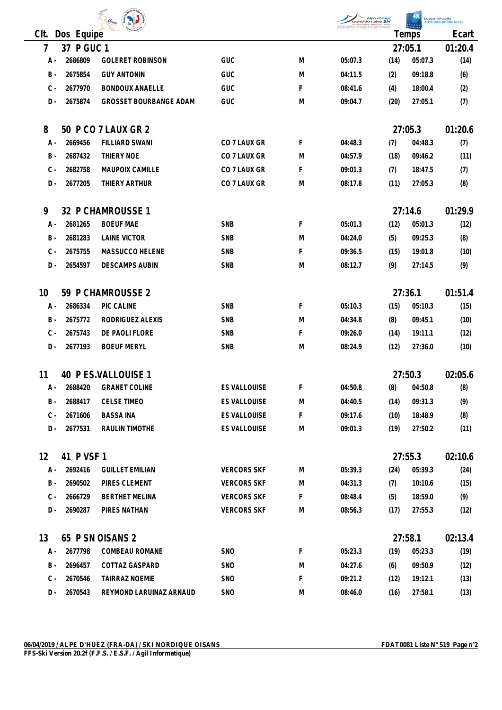| $O_{isams}$ |  |
|-------------|--|
| ∽           |  |

|      |     | $-450$ $N_{\odot}$<br>$\overline{\mathcal{O}}_{isame}$<br>E. 7 | Alpe d'Huez<br>grand domaine Ski<br>LES PLUS GRANDS DÉNIVELÉS DU MONDE<br><b>SANQUE</b><br>AURIS EN OSANS LAURE D'IRJEZ LOZ EN OSANS L'URINAVY | <b>BANQUE POPULAIRE</b><br><b>AUVERGNE RHÔNE ALPES</b> |
|------|-----|----------------------------------------------------------------|------------------------------------------------------------------------------------------------------------------------------------------------|--------------------------------------------------------|
| Clt. | Dos | <b>THO Francisco</b><br>-<br>___<br>Equipe                     | emps                                                                                                                                           | Ecart                                                  |
|      | ັ   | $\overline{\phantom{0}}$<br>◡<br>◡                             | ን7·በ5<br>21. UJ.                                                                                                                               | า∩<br>- ∪.∽                                            |

| $\overline{7}$ | 37 P GUC 1 |                               |                     |    |         |      | 27:05.1        | 01:20.4 |
|----------------|------------|-------------------------------|---------------------|----|---------|------|----------------|---------|
| A -            | 2686809    | <b>GOLERET ROBINSON</b>       | GUC                 | M  | 05:07.3 | (14) | 05:07.3        | (14)    |
| $B -$          | 2675854    | <b>GUY ANTONIN</b>            | GUC                 | M  | 04:11.5 | (2)  | 09:18.8        | (6)     |
| $C -$          | 2677970    | <b>BONDOUX ANAELLE</b>        | GUC                 | F. | 08:41.6 | (4)  | 18:00.4        | (2)     |
| $D -$          | 2675874    | <b>GROSSET BOURBANGE ADAM</b> | GUC                 | M  | 09:04.7 | (20) | 27:05.1        | (7)     |
| 8              |            | 50 P CO 7 LAUX GR 2           |                     |    |         |      | 27:05.3        | 01:20.6 |
| A -            | 2669456    | <b>FILLIARD SWANI</b>         | CO 7 LAUX GR        | F  | 04:48.3 | (7)  | 04:48.3        | (7)     |
| $B -$          | 2687432    | THIERY NOE                    | CO 7 LAUX GR        | M  | 04:57.9 | (18) | 09:46.2        | (11)    |
| $C -$          | 2682758    | MAUPOIX CAMILLE               | CO 7 LAUX GR        | F. | 09:01.3 | (7)  | 18:47.5        | (7)     |
| D-             | 2677205    | THIERY ARTHUR                 | CO 7 LAUX GR        | M  | 08:17.8 | (11) | 27:05.3        | (8)     |
| 9              |            | 32 P CHAMROUSSE 1             |                     |    |         |      | 27:14.6        | 01:29.9 |
| A -            | 2681265    | <b>BOEUF MAE</b>              | <b>SNB</b>          | F  | 05:01.3 | (12) | 05:01.3        | (12)    |
| B -            | 2681283    | <b>LAINE VICTOR</b>           | SNB                 | M  | 04:24.0 | (5)  | 09:25.3        | (8)     |
| $C -$          | 2675755    | MASSUCCO HELENE               | SNB                 | F  | 09:36.5 | (15) | 19:01.8        | (10)    |
| $D -$          | 2654597    | <b>DESCAMPS AUBIN</b>         | SNB                 | M  | 08:12.7 | (9)  | 27:14.5        | (9)     |
| 10             |            | 59 P CHAMROUSSE 2             |                     |    |         |      | 27:36.1        | 01:51.4 |
| A -            | 2686334    | PIC CALINE                    | <b>SNB</b>          | F  | 05:10.3 | (15) | 05:10.3        | (15)    |
| $B -$          | 2675772    | RODRIGUEZ ALEXIS              | SNB                 | M  | 04:34.8 | (8)  | 09:45.1        | (10)    |
| $C -$          | 2675743    | DE PAOLI FLORE                | <b>SNB</b>          | F. | 09:26.0 | (14) | 19:11.1        | (12)    |
| $D -$          | 2677193    | <b>BOEUF MERYL</b>            | SNB                 | M  | 08:24.9 | (12) | 27:36.0        | (10)    |
| 11             |            | 40 P ES.VALLOUISE 1           |                     |    |         |      | 27:50.3        | 02:05.6 |
| A -            | 2688420    | <b>GRANET COLINE</b>          | <b>ES VALLOUISE</b> | F  | 04:50.8 | (8)  | 04:50.8        | (8)     |
| $B -$          | 2688417    | <b>CELSE TIMEO</b>            | <b>ES VALLOUISE</b> | M  | 04:40.5 | (14) | 09:31.3        | (9)     |
| $C -$          | 2671606    | <b>BASSA INA</b>              | ES VALLOUISE        | F. | 09:17.6 |      | $(10)$ 18:48.9 | (8)     |
| D -            | 2677531    | RAULIN TIMOTHE                | ES VALLOUISE        | M  | 09:01.3 | (19) | 27:50.2        | (11)    |
| 12             | 41 P VSF 1 |                               |                     |    |         |      | 27:55.3        | 02:10.6 |
| A -            | 2692416    | <b>GUILLET EMILIAN</b>        | <b>VERCORS SKF</b>  | M  | 05:39.3 | (24) | 05:39.3        | (24)    |
| B -            | 2690502    | PIRES CLEMENT                 | <b>VERCORS SKF</b>  | M  | 04:31.3 | (7)  | 10:10.6        | (15)    |
| $C -$          | 2666729    | <b>BERTHET MELINA</b>         | <b>VERCORS SKF</b>  | F  | 08:48.4 | (5)  | 18:59.0        | (9)     |
| D -            | 2690287    | PIRES NATHAN                  | <b>VERCORS SKF</b>  | M  | 08:56.3 | (17) | 27:55.3        | (12)    |
| 13             |            | 65 P SN OISANS 2              |                     |    |         |      | 27:58.1        | 02:13.4 |
| A -            | 2677798    | COMBEAU ROMANE                | SNO                 | F  | 05:23.3 | (19) | 05:23.3        | (19)    |
| B -            | 2696457    | COTTAZ GASPARD                | <b>SNO</b>          | M  | 04:27.6 | (6)  | 09:50.9        | (12)    |
| $C -$          | 2670546    | TAIRRAZ NOEMIE                | <b>SNO</b>          | F  | 09:21.2 | (12) | 19:12.1        | (13)    |
| D -            | 2670543    | REYMOND LARUINAZ ARNAUD       | <b>SNO</b>          | M  | 08:46.0 | (16) | 27:58.1        | (13)    |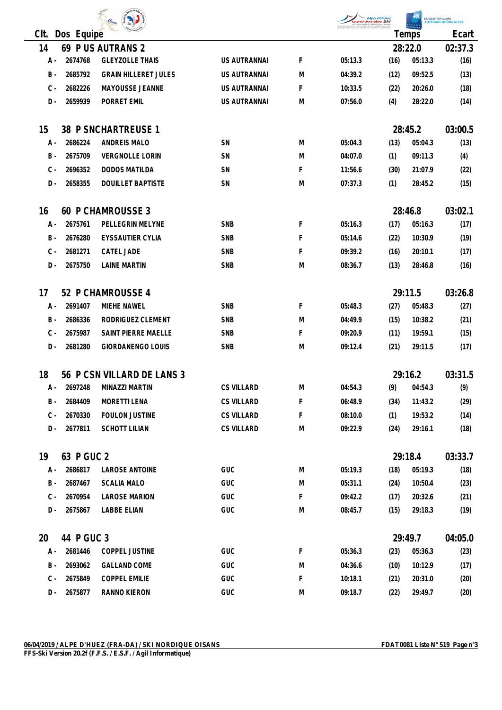| Non<br>$\mathcal{O}_\text{isams}$ | cor |
|-----------------------------------|-----|
| ۱ρ                                |     |

| <b>Alpe d'Huez</b><br>grand domaine Skl<br>LES PLUS GRANDS DÉMIVELÉS DU MONDE                           |       | RA |
|---------------------------------------------------------------------------------------------------------|-------|----|
| OUTLAND & ALIPE O'TELRED & OUT THE OUTLAND & VALLANDY<br>LLARD REGULAS # LA GARDE EN OISANS # LE FRENEY |       |    |
|                                                                                                         | lemps |    |

IANQUE POPULAIRE<br><mark>AUVERGNE RHÔNE ALPES</mark>

| Clt.      | Dos Equipe            |                             |                   |   |         |      | Temps              | Ecart           |
|-----------|-----------------------|-----------------------------|-------------------|---|---------|------|--------------------|-----------------|
| 14        |                       | 69 P US AUTRANS 2           |                   |   |         |      | 28:22.0            | 02:37.3         |
| A -       | 2674768               | <b>GLEYZOLLE THAIS</b>      | US AUTRANNAI      | F | 05:13.3 | (16) | 05:13.3            | (16)            |
| $B -$     | 2685792               | <b>GRAIN HILLERET JULES</b> | US AUTRANNAI      | M | 04:39.2 | (12) | 09:52.5            | (13)            |
| $C -$     | 2682226               | MAYOUSSE JEANNE             | US AUTRANNAI      | F | 10:33.5 | (22) | 20:26.0            | (18)            |
| D-        | 2659939               | PORRET EMIL                 | US AUTRANNAI      | M | 07:56.0 | (4)  | 28:22.0            | (14)            |
|           |                       |                             |                   |   |         |      |                    |                 |
| 15        |                       | 38 P SNCHARTREUSE 1         |                   |   |         |      | 28:45.2            | 03:00.5         |
| A -       | 2686224               | ANDREIS MALO                | SN                | M | 05:04.3 | (13) | 05:04.3            | (13)            |
| $B -$     | 2675709               | <b>VERGNOLLE LORIN</b>      | SN                | M | 04:07.0 | (1)  | 09:11.3            | (4)             |
| $C -$     | 2696352               | <b>DODOS MATILDA</b>        | SN                | F | 11:56.6 | (30) | 21:07.9            | (22)            |
| D-        | 2658355               | <b>DOUILLET BAPTISTE</b>    | SN                | M | 07:37.3 | (1)  | 28:45.2            | (15)            |
|           |                       |                             |                   |   |         |      |                    |                 |
| 16        |                       | 60 P CHAMROUSSE 3           |                   |   |         |      | 28:46.8            | 03:02.1         |
| A -       | 2675761               | PELLEGRIN MELYNE            | <b>SNB</b>        | F | 05:16.3 | (17) | 05:16.3            | (17)            |
| B -       | 2676280               | EYSSAUTIER CYLIA            | SNB               | F | 05:14.6 | (22) | 10:30.9            | (19)            |
| $C -$     | 2681271               | CATEL JADE                  | <b>SNB</b>        | F | 09:39.2 | (16) | 20:10.1            | (17)            |
| D -       | 2675750               | <b>LAINE MARTIN</b>         | <b>SNB</b>        | M | 08:36.7 | (13) | 28:46.8            | (16)            |
| 17        |                       | 52 P CHAMROUSSE 4           |                   |   |         |      | 29:11.5            | 03:26.8         |
| A -       | 2691407               | MIEHE NAWEL                 | <b>SNB</b>        | F | 05:48.3 | (27) | 05:48.3            | (27)            |
| B -       | 2686336               | RODRIGUEZ CLEMENT           | <b>SNB</b>        | M | 04:49.9 | (15) | 10:38.2            | (21)            |
| $C -$     | 2675987               | SAINT PIERRE MAELLE         | SNB               | F | 09:20.9 | (11) | 19:59.1            | (15)            |
| D-        | 2681280               | GIORDANENGO LOUIS           | SNB               | M | 09:12.4 | (21) | 29:11.5            | (17)            |
|           |                       |                             |                   |   |         |      |                    |                 |
| 18        |                       | 56 P CSN VILLARD DE LANS 3  |                   |   |         |      | 29:16.2            | 03:31.5         |
| A -       | 2697248               | MINAZZI MARTIN              | <b>CS VILLARD</b> | M | 04:54.3 | (9)  | 04:54.3            | (9)             |
| B -       | 2684409               | <b>MORETTI LENA</b>         | <b>CS VILLARD</b> | F | 06:48.9 | (34) | 11:43.2            | (29)            |
| C -       | 2670330               | <b>FOULON JUSTINE</b>       | <b>CS VILLARD</b> | F | 08:10.0 | (1)  | 19:53.2            | (14)            |
| D -       | 2677811               | <b>SCHOTT LILIAN</b>        | <b>CS VILLARD</b> | M | 09:22.9 | (24) | 29:16.1            | (18)            |
| 19        | 63 P GUC 2            |                             |                   |   |         |      | 29:18.4            | 03:33.7         |
| A -       | 2686817               | LAROSE ANTOINE              | GUC               | M | 05:19.3 | (18) | 05:19.3            | (18)            |
| B -       | 2687467               | <b>SCALIA MALO</b>          | GUC               | M | 05:31.1 | (24) | 10:50.4            | (23)            |
| $C -$     | 2670954               | <b>LAROSE MARION</b>        | GUC               | F | 09:42.2 | (17) | 20:32.6            | (21)            |
| D -       | 2675867               | LABBE ELIAN                 | GUC               | M | 08:45.7 | (15) | 29:18.3            | (19)            |
|           |                       |                             |                   |   |         |      |                    |                 |
| 20<br>A - | 44 P GUC 3<br>2681446 | COPPEL JUSTINE              | GUC               | F | 05:36.3 | (23) | 29:49.7<br>05:36.3 | 04:05.0<br>(23) |
| B -       | 2693062               | <b>GALLAND COME</b>         | GUC               | M |         |      |                    |                 |
|           |                       | <b>COPPEL EMILIE</b>        | GUC               | F | 04:36.6 | (10) | 10:12.9            | (17)            |
| C -       | 2675849               |                             |                   |   | 10:18.1 | (21) | 20:31.0            | (20)            |
| D -       | 2675877               | RANNO KIERON                | GUC               | M | 09:18.7 | (22) | 29:49.7            | (20)            |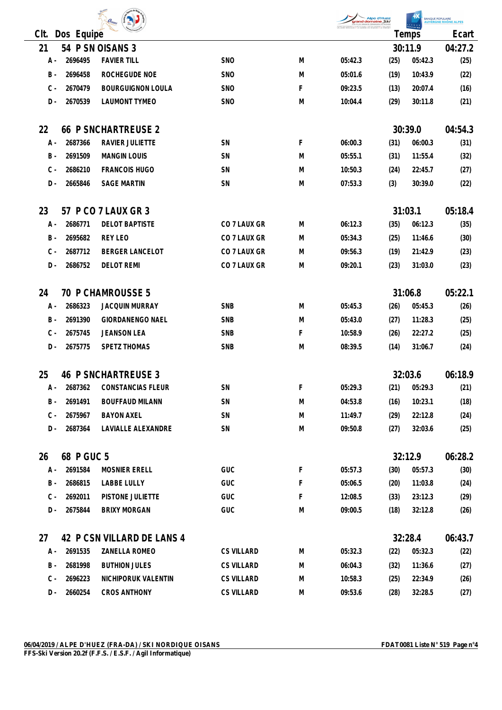| O <sub>isams</sub> |  |
|--------------------|--|
|                    |  |



BANQUE POPULAIRE

| CIt.  | Dos Equipe  |                            |                   |   |         |      | POPULAIRE<br>Temps | Ecart   |
|-------|-------------|----------------------------|-------------------|---|---------|------|--------------------|---------|
| 21    |             | 54 P SN OISANS 3           |                   |   |         |      | 30:11.9            | 04:27.2 |
| A -   | 2696495     | <b>FAVIER TILL</b>         | <b>SNO</b>        | M | 05:42.3 | (25) | 05:42.3            | (25)    |
| $B -$ | 2696458     | ROCHEGUDE NOE              | <b>SNO</b>        | M | 05:01.6 | (19) | 10:43.9            | (22)    |
| $C -$ | 2670479     | <b>BOURGUIGNON LOULA</b>   | <b>SNO</b>        | F | 09:23.5 |      | 20:07.4            |         |
|       |             |                            |                   |   |         | (13) |                    | (16)    |
| D-    | 2670539     | <b>LAUMONT TYMEO</b>       | <b>SNO</b>        | M | 10:04.4 | (29) | 30:11.8            | (21)    |
| 22    |             | <b>66 P SNCHARTREUSE 2</b> |                   |   |         |      | 30:39.0            | 04:54.3 |
| A -   | 2687366     | RAVIER JULIETTE            | SN                | F | 06:00.3 | (31) | 06:00.3            | (31)    |
| $B -$ | 2691509     | <b>MANGIN LOUIS</b>        | SN                | M | 05:55.1 | (31) | 11:55.4            | (32)    |
| $C -$ | 2686210     | <b>FRANCOIS HUGO</b>       | SN                | M | 10:50.3 | (24) | 22:45.7            | (27)    |
| $D -$ | 2665846     | <b>SAGE MARTIN</b>         | SN                | M | 07:53.3 | (3)  | 30:39.0            | (22)    |
| 23    |             |                            |                   |   |         |      |                    |         |
|       |             | 57 P CO 7 LAUX GR 3        |                   |   |         |      | 31:03.1            | 05:18.4 |
| A -   | 2686771     | <b>DELOT BAPTISTE</b>      | CO 7 LAUX GR      | M | 06:12.3 | (35) | 06:12.3            | (35)    |
| B -   | 2695682     | REY LEO                    | CO 7 LAUX GR      | M | 05:34.3 | (25) | 11:46.6            | (30)    |
| $C -$ | 2687712     | <b>BERGER LANCELOT</b>     | CO 7 LAUX GR      | M | 09:56.3 | (19) | 21:42.9            | (23)    |
| D -   | 2686752     | <b>DELOT REMI</b>          | CO 7 LAUX GR      | M | 09:20.1 | (23) | 31:03.0            | (23)    |
| 24    |             | <b>70 P CHAMROUSSE 5</b>   |                   |   |         |      | 31:06.8            | 05:22.1 |
| A -   | 2686323     | <b>JACQUIN MURRAY</b>      | <b>SNB</b>        | M | 05:45.3 | (26) | 05:45.3            | (26)    |
| $B -$ | 2691390     | <b>GIORDANENGO NAEL</b>    | <b>SNB</b>        | M | 05:43.0 | (27) | 11:28.3            | (25)    |
| $C -$ | 2675745     | <b>JEANSON LEA</b>         | SNB               | F | 10:58.9 | (26) | 22:27.2            | (25)    |
| D -   | 2675775     | SPETZ THOMAS               | SNB               | M | 08:39.5 | (14) | 31:06.7            | (24)    |
| 25    |             | <b>46 P SNCHARTREUSE 3</b> |                   |   |         |      | 32:03.6            | 06:18.9 |
| A -   | 2687362     | CONSTANCIAS FLEUR          | SN                | F | 05:29.3 | (21) | 05:29.3            | (21)    |
|       | B - 2691491 | <b>BOUFFAUD MILANN</b>     | <b>SN</b>         | M | 04:53.8 |      | 10:23.1            |         |
|       |             |                            |                   |   |         | (16) |                    | (18)    |
| C -   | 2675967     | <b>BAYON AXEL</b>          | SN                | M | 11:49.7 | (29) | 22:12.8            | (24)    |
| D -   | 2687364     | LAVIALLE ALEXANDRE         | SN                | M | 09:50.8 | (27) | 32:03.6            | (25)    |
| 26    | 68 P GUC 5  |                            |                   |   |         |      | 32:12.9            | 06:28.2 |
| А -   | 2691584     | MOSNIER ERELL              | GUC               | F | 05:57.3 | (30) | 05:57.3            | (30)    |
| B -   | 2686815     | LABBE LULLY                | GUC               | F | 05:06.5 | (20) | 11:03.8            | (24)    |
| $C -$ | 2692011     | PISTONE JULIETTE           | <b>GUC</b>        | F | 12:08.5 | (33) | 23:12.3            | (29)    |
| D -   | 2675844     | <b>BRIXY MORGAN</b>        | GUC               | M | 09:00.5 | (18) | 32:12.8            | (26)    |
| 27    |             | 42 P CSN VILLARD DE LANS 4 |                   |   |         |      | 32:28.4            | 06:43.7 |
| A -   | 2691535     | ZANELLA ROMEO              | <b>CS VILLARD</b> | M | 05:32.3 | (22) | 05:32.3            | (22)    |
| B -   | 2681998     | <b>BUTHION JULES</b>       | <b>CS VILLARD</b> | M | 06:04.3 | (32) | 11:36.6            | (27)    |
| $C -$ | 2696223     | NICHIPORUK VALENTIN        | <b>CS VILLARD</b> | M | 10:58.3 | (25) | 22:34.9            | (26)    |
| D -   | 2660254     | <b>CROS ANTHONY</b>        | <b>CS VILLARD</b> | M | 09:53.6 | (28) | 32:28.5            | (27)    |
|       |             |                            |                   |   |         |      |                    |         |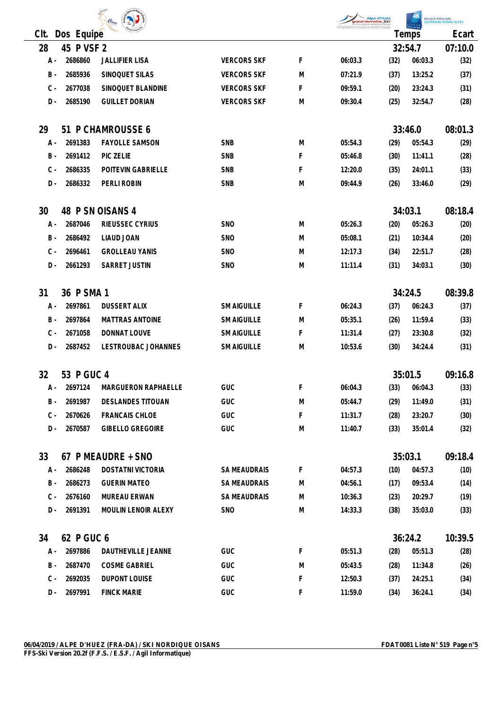| $\boldsymbol{O}_{\!isams}$ |  |
|----------------------------|--|

| <b>Alpe d'Huez</b><br>grand domaine Ski<br>LES PLUS GRANDS DÉNIVELÉS DU MONDE                               |      |
|-------------------------------------------------------------------------------------------------------------|------|
| OUTLANDS & ALLIED SYSTEMS & COT THE COSTANYS & VALLANCY<br>VILLARD REGULAS # LA GARDE EN GISANS # LE FRÉNEY |      |
|                                                                                                             | emn< |

| <b>ANOUE POPULAIRE</b>     |  |
|----------------------------|--|
| <b>UVERGNE RHÔNE ALPES</b> |  |
|                            |  |
|                            |  |

|                         |         |                        |                     |         | and domaine Ski | Alpe d'Huez |         | BANQUE POPULAIRE<br>AUVERGNE RHÔNE ALPES |
|-------------------------|---------|------------------------|---------------------|---------|-----------------|-------------|---------|------------------------------------------|
| CIt.<br>Dos Equipe      |         |                        |                     |         |                 | Temps       |         | Ecart                                    |
| 28<br>45 P VSF 2        |         |                        |                     |         |                 | 32:54.7     |         | 07:10.0                                  |
| A -                     | 2686860 | <b>JALLIFIER LISA</b>  | <b>VERCORS SKF</b>  | F       | 06:03.3         | (32)        | 06:03.3 | (32)                                     |
| $B -$                   | 2685936 | SINOQUET SILAS         | <b>VERCORS SKF</b>  | M       | 07:21.9         | (37)        | 13:25.2 | (37)                                     |
| $C -$                   | 2677038 | SINOQUET BLANDINE      | <b>VERCORS SKF</b>  | F       | 09:59.1         | (20)        | 23:24.3 | (31)                                     |
| $D -$                   | 2685190 | <b>GUILLET DORIAN</b>  | <b>VERCORS SKF</b>  | M       | 09:30.4         | (25)        | 32:54.7 | (28)                                     |
| 51 P CHAMROUSSE 6<br>29 |         |                        |                     |         |                 | 33:46.0     |         | 08:01.3                                  |
| Α -                     | 2691383 | <b>FAYOLLE SAMSON</b>  | <b>SNB</b>          | M       | 05:54.3         | (29)        | 05:54.3 | (29)                                     |
| $B -$                   | 2691412 | PIC ZELIE              | <b>SNB</b>          | F       | 05:46.8         | (30)        | 11:41.1 | (28)                                     |
| $C -$                   | 2686335 | POITEVIN GABRIELLE     | <b>SNB</b>          | F       | 12:20.0         | (35)        | 24:01.1 | (33)                                     |
| $D -$                   | 2686332 | PERLI ROBIN            | SNB                 | M       | 09:44.9         | (26)        | 33:46.0 | (29)                                     |
| 30                      |         | 48 P SN OISANS 4       |                     |         |                 | 34:03.1     | 08:18.4 |                                          |
| Α -                     | 2687046 | RIEUSSEC CYRIUS        | <b>SNO</b>          | M       | 05:26.3         | (20)        | 05:26.3 | (20)                                     |
| B -                     | 2686492 | LIAUD JOAN             | <b>SNO</b>          | M       | 05:08.1         | (21)        | 10:34.4 | (20)                                     |
| $C -$                   | 2696461 | <b>GROLLEAU YANIS</b>  | <b>SNO</b>          | M       | 12:17.3         | (34)        | 22:51.7 | (28)                                     |
| $D -$                   | 2661293 | SARRET JUSTIN          | <b>SNO</b>          | M       | 11:11.4         | (31)        | 34:03.1 | (30)                                     |
| 36 P SMA 1<br>31        |         |                        |                     | 34:24.5 |                 | 08:39.8     |         |                                          |
| А -                     | 2697861 | <b>DUSSERT ALIX</b>    | <b>SM AIGUILLE</b>  | F       | 06:24.3         | (37)        | 06:24.3 | (37)                                     |
| B -                     | 2697864 | <b>MATTRAS ANTOINE</b> | <b>SM AIGUILLE</b>  | M       | 05:35.1         | (26)        | 11:59.4 | (33)                                     |
| $C -$                   | 2671058 | DONNAT LOUVE           | <b>SM AIGUILLE</b>  | F       | 11:31.4         | (27)        | 23:30.8 | (32)                                     |
| D -                     | 2687452 | LESTROUBAC JOHANNES    | <b>SM AIGUILLE</b>  | M       | 10:53.6         | (30)        | 34:24.4 | (31)                                     |
| 32<br>53 P GUC 4        |         |                        |                     |         |                 | 35:01.5     | 09:16.8 |                                          |
| А -                     | 2697124 | MARGUERON RAPHAELLE    | GUC                 | F       | 06:04.3         | (33)        | 06:04.3 | (33)                                     |
| B -                     | 2691987 | DESLANDES TITOUAN      | <b>GUC</b>          | M       | 05:44.7         | (29)        | 11:49.0 | (31)                                     |
| $C -$                   | 2670626 | <b>FRANCAIS CHLOE</b>  | GUC                 | F       | 11:31.7         | (28)        | 23:20.7 | (30)                                     |
| $D -$                   | 2670587 | GIBELLO GREGOIRE       | GUC                 | M       | 11:40.7         | (33)        | 35:01.4 | (32)                                     |
| 33                      |         | 67 P MEAUDRE + SNO     |                     |         |                 | 35:03.1     |         | 09:18.4                                  |
| A -                     | 2686248 | DOSTATNI VICTORIA      | <b>SA MEAUDRAIS</b> | F       | 04:57.3         | (10)        | 04:57.3 | (10)                                     |
| B -                     | 2686273 | <b>GUERIN MATEO</b>    | <b>SA MEAUDRAIS</b> | M       | 04:56.1         | (17)        | 09:53.4 | (14)                                     |
| $C -$                   | 2676160 | MUREAU ERWAN           | SA MEAUDRAIS        | M       | 10:36.3         | (23)        | 20:29.7 | (19)                                     |
| $D -$                   | 2691391 | MOULIN LENOIR ALEXY    | SNO                 | M       | 14:33.3         | (38)        | 35:03.0 | (33)                                     |
| 34<br>62 P GUC 6        |         |                        |                     |         | 36:24.2         |             | 10:39.5 |                                          |
| A -                     | 2697886 | DAUTHEVILLE JEANNE     | GUC                 | F       | 05:51.3         | (28)        | 05:51.3 | (28)                                     |
| B -                     | 2687470 | <b>COSME GABRIEL</b>   | GUC                 | M       | 05:43.5         | (28)        | 11:34.8 | (26)                                     |
| $C -$                   | 2692035 | DUPONT LOUISE          | GUC                 | F       | 12:50.3         | (37)        | 24:25.1 | (34)                                     |
| D -                     | 2697991 | <b>FINCK MARIE</b>     | GUC                 | F       | 11:59.0         | (34)        | 36:24.1 | (34)                                     |